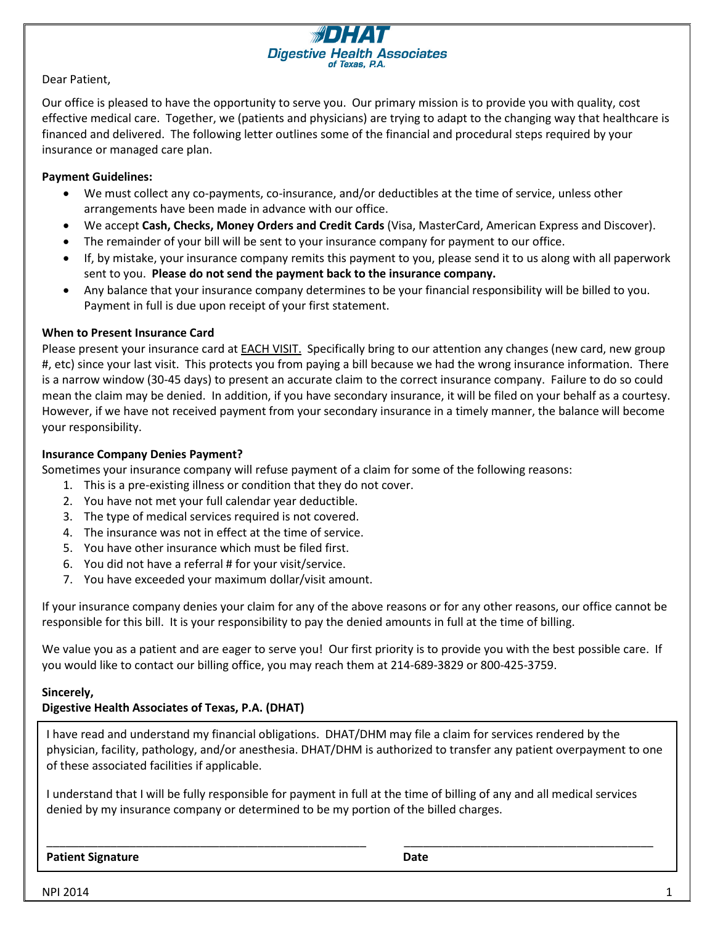

Our office is pleased to have the opportunity to serve you. Our primary mission is to provide you with quality, cost effective medical care. Together, we (patients and physicians) are trying to adapt to the changing way that healthcare is financed and delivered. The following letter outlines some of the financial and procedural steps required by your insurance or managed care plan.

**Digestive Health Associates** 

## **Payment Guidelines:**

- We must collect any co-payments, co-insurance, and/or deductibles at the time of service, unless other arrangements have been made in advance with our office.
- We accept **Cash, Checks, Money Orders and Credit Cards** (Visa, MasterCard, American Express and Discover).
- The remainder of your bill will be sent to your insurance company for payment to our office.
- If, by mistake, your insurance company remits this payment to you, please send it to us along with all paperwork sent to you. **Please do not send the payment back to the insurance company.**
- Any balance that your insurance company determines to be your financial responsibility will be billed to you. Payment in full is due upon receipt of your first statement.

## **When to Present Insurance Card**

Please present your insurance card at **EACH VISIT.** Specifically bring to our attention any changes (new card, new group #, etc) since your last visit. This protects you from paying a bill because we had the wrong insurance information. There is a narrow window (30-45 days) to present an accurate claim to the correct insurance company. Failure to do so could mean the claim may be denied. In addition, if you have secondary insurance, it will be filed on your behalf as a courtesy. However, if we have not received payment from your secondary insurance in a timely manner, the balance will become your responsibility.

## **Insurance Company Denies Payment?**

Sometimes your insurance company will refuse payment of a claim for some of the following reasons:

- 1. This is a pre-existing illness or condition that they do not cover.
- 2. You have not met your full calendar year deductible.
- 3. The type of medical services required is not covered.
- 4. The insurance was not in effect at the time of service.
- 5. You have other insurance which must be filed first.
- 6. You did not have a referral # for your visit/service.
- 7. You have exceeded your maximum dollar/visit amount.

If your insurance company denies your claim for any of the above reasons or for any other reasons, our office cannot be responsible for this bill. It is your responsibility to pay the denied amounts in full at the time of billing.

We value you as a patient and are eager to serve you! Our first priority is to provide you with the best possible care. If you would like to contact our billing office, you may reach them at 214-689-3829 or 800-425-3759.

## **Sincerely,**

## **Digestive Health Associates of Texas, P.A. (DHAT)**

I have read and understand my financial obligations. DHAT/DHM may file a claim for services rendered by the physician, facility, pathology, and/or anesthesia. DHAT/DHM is authorized to transfer any patient overpayment to one of these associated facilities if applicable.

I understand that I will be fully responsible for payment in full at the time of billing of any and all medical services denied by my insurance company or determined to be my portion of the billed charges.

\_\_\_\_\_\_\_\_\_\_\_\_\_\_\_\_\_\_\_\_\_\_\_\_\_\_\_\_\_\_\_\_\_\_\_\_\_\_\_\_\_\_\_\_\_\_\_\_\_\_ \_\_\_\_\_\_\_\_\_\_\_\_\_\_\_\_\_\_\_\_\_\_\_\_\_\_\_\_\_\_\_\_\_\_\_\_\_\_\_

## **Patient Signature Date**

 $NPI$  2014  $1$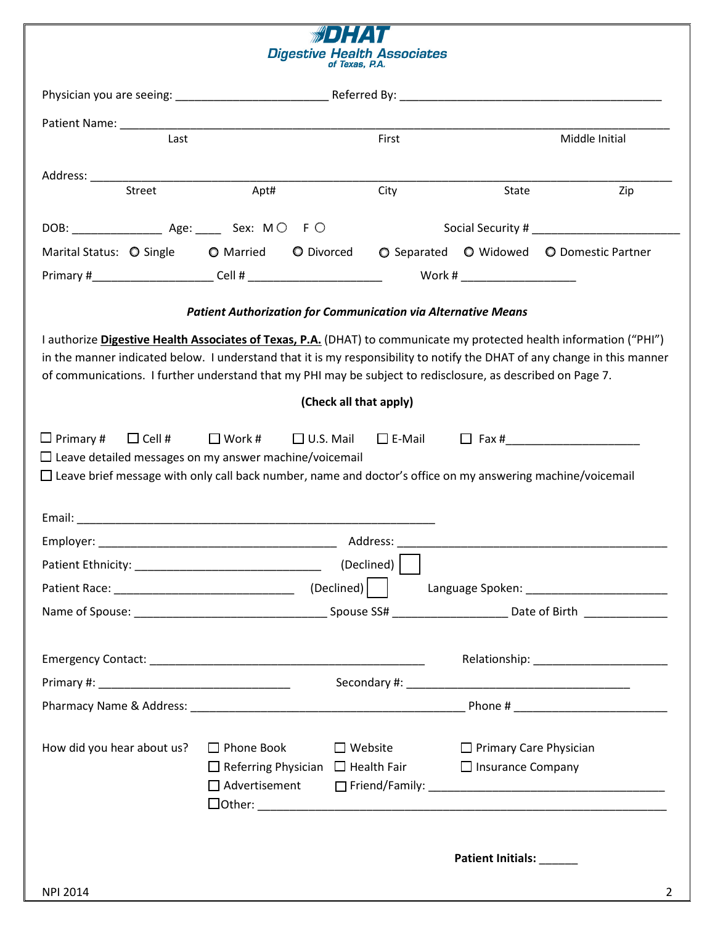|                                                                                                                                                                                                                                         |                                                                        | <b>Digestive Health Associates</b><br>of Texas, P.A. |                               |                                          |
|-----------------------------------------------------------------------------------------------------------------------------------------------------------------------------------------------------------------------------------------|------------------------------------------------------------------------|------------------------------------------------------|-------------------------------|------------------------------------------|
|                                                                                                                                                                                                                                         |                                                                        |                                                      |                               |                                          |
|                                                                                                                                                                                                                                         |                                                                        |                                                      |                               |                                          |
| Last                                                                                                                                                                                                                                    |                                                                        | First                                                |                               | Middle Initial                           |
|                                                                                                                                                                                                                                         |                                                                        |                                                      |                               |                                          |
| Street                                                                                                                                                                                                                                  | Apt#                                                                   | City                                                 | State                         | Zip                                      |
|                                                                                                                                                                                                                                         |                                                                        |                                                      |                               |                                          |
| Marital Status: O Single O Married O Divorced                                                                                                                                                                                           |                                                                        |                                                      |                               | ○ Separated ○ Widowed ○ Domestic Partner |
|                                                                                                                                                                                                                                         |                                                                        |                                                      | Work #                        |                                          |
|                                                                                                                                                                                                                                         | <b>Patient Authorization for Communication via Alternative Means</b>   |                                                      |                               |                                          |
|                                                                                                                                                                                                                                         |                                                                        |                                                      |                               |                                          |
| I authorize Digestive Health Associates of Texas, P.A. (DHAT) to communicate my protected health information ("PHI")                                                                                                                    |                                                                        |                                                      |                               |                                          |
| in the manner indicated below. I understand that it is my responsibility to notify the DHAT of any change in this manner<br>of communications. I further understand that my PHI may be subject to redisclosure, as described on Page 7. |                                                                        |                                                      |                               |                                          |
|                                                                                                                                                                                                                                         |                                                                        | (Check all that apply)                               |                               |                                          |
|                                                                                                                                                                                                                                         |                                                                        |                                                      |                               |                                          |
| $\Box$ Primary #<br>$\Box$ Cell #                                                                                                                                                                                                       | $\square$ Work #                                                       |                                                      |                               |                                          |
| $\Box$ Leave detailed messages on my answer machine/voicemail                                                                                                                                                                           |                                                                        |                                                      |                               |                                          |
| $\Box$ Leave brief message with only call back number, name and doctor's office on my answering machine/voicemail                                                                                                                       |                                                                        |                                                      |                               |                                          |
|                                                                                                                                                                                                                                         |                                                                        |                                                      |                               |                                          |
| Employer:                                                                                                                                                                                                                               |                                                                        | Address:                                             |                               |                                          |
|                                                                                                                                                                                                                                         |                                                                        | (Declined)                                           |                               |                                          |
|                                                                                                                                                                                                                                         |                                                                        |                                                      |                               |                                          |
|                                                                                                                                                                                                                                         |                                                                        |                                                      |                               |                                          |
|                                                                                                                                                                                                                                         |                                                                        |                                                      |                               |                                          |
|                                                                                                                                                                                                                                         |                                                                        |                                                      |                               |                                          |
|                                                                                                                                                                                                                                         |                                                                        |                                                      |                               |                                          |
|                                                                                                                                                                                                                                         |                                                                        |                                                      |                               |                                          |
|                                                                                                                                                                                                                                         |                                                                        |                                                      |                               |                                          |
| How did you hear about us?                                                                                                                                                                                                              | $\Box$ Phone Book                                                      | $\Box$ Website                                       | $\Box$ Primary Care Physician |                                          |
|                                                                                                                                                                                                                                         | $\Box$ Referring Physician $\Box$ Health Fair $\Box$ Insurance Company |                                                      |                               |                                          |
|                                                                                                                                                                                                                                         | $\Box$ Advertisement                                                   |                                                      |                               |                                          |
|                                                                                                                                                                                                                                         |                                                                        |                                                      |                               |                                          |
|                                                                                                                                                                                                                                         |                                                                        |                                                      |                               |                                          |
|                                                                                                                                                                                                                                         |                                                                        |                                                      | Patient Initials: ______      |                                          |
| <b>NPI 2014</b>                                                                                                                                                                                                                         |                                                                        |                                                      |                               | $\mathbf{2}$                             |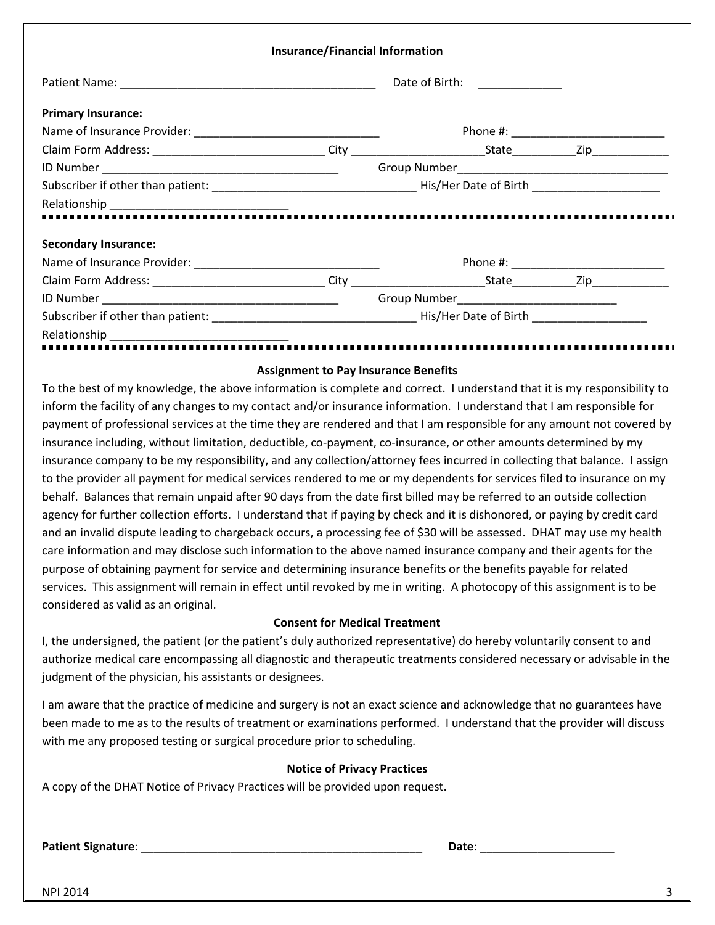|                             | <b>Insurance/Financial Information</b> |                                            |  |
|-----------------------------|----------------------------------------|--------------------------------------------|--|
|                             |                                        |                                            |  |
| <b>Primary Insurance:</b>   |                                        |                                            |  |
|                             |                                        |                                            |  |
|                             |                                        |                                            |  |
|                             |                                        |                                            |  |
|                             |                                        |                                            |  |
|                             |                                        |                                            |  |
| <b>Secondary Insurance:</b> |                                        |                                            |  |
|                             |                                        | Phone #: ______________________________    |  |
|                             |                                        |                                            |  |
|                             |                                        | Group Number______________________________ |  |
|                             |                                        |                                            |  |
|                             |                                        |                                            |  |

#### **Assignment to Pay Insurance Benefits**

To the best of my knowledge, the above information is complete and correct. I understand that it is my responsibility to inform the facility of any changes to my contact and/or insurance information. I understand that I am responsible for payment of professional services at the time they are rendered and that I am responsible for any amount not covered by insurance including, without limitation, deductible, co-payment, co-insurance, or other amounts determined by my insurance company to be my responsibility, and any collection/attorney fees incurred in collecting that balance. I assign to the provider all payment for medical services rendered to me or my dependents for services filed to insurance on my behalf. Balances that remain unpaid after 90 days from the date first billed may be referred to an outside collection agency for further collection efforts. I understand that if paying by check and it is dishonored, or paying by credit card and an invalid dispute leading to chargeback occurs, a processing fee of \$30 will be assessed. DHAT may use my health care information and may disclose such information to the above named insurance company and their agents for the purpose of obtaining payment for service and determining insurance benefits or the benefits payable for related services. This assignment will remain in effect until revoked by me in writing. A photocopy of this assignment is to be considered as valid as an original.

## **Consent for Medical Treatment**

I, the undersigned, the patient (or the patient's duly authorized representative) do hereby voluntarily consent to and authorize medical care encompassing all diagnostic and therapeutic treatments considered necessary or advisable in the judgment of the physician, his assistants or designees.

I am aware that the practice of medicine and surgery is not an exact science and acknowledge that no guarantees have been made to me as to the results of treatment or examinations performed. I understand that the provider will discuss with me any proposed testing or surgical procedure prior to scheduling.

#### **Notice of Privacy Practices**

A copy of the DHAT Notice of Privacy Practices will be provided upon request.

**Patient Signature**: \_\_\_\_\_\_\_\_\_\_\_\_\_\_\_\_\_\_\_\_\_\_\_\_\_\_\_\_\_\_\_\_\_\_\_\_\_\_\_\_\_\_\_\_ **Date**: \_\_\_\_\_\_\_\_\_\_\_\_\_\_\_\_\_\_\_\_\_

 $NPI$  2014  $3$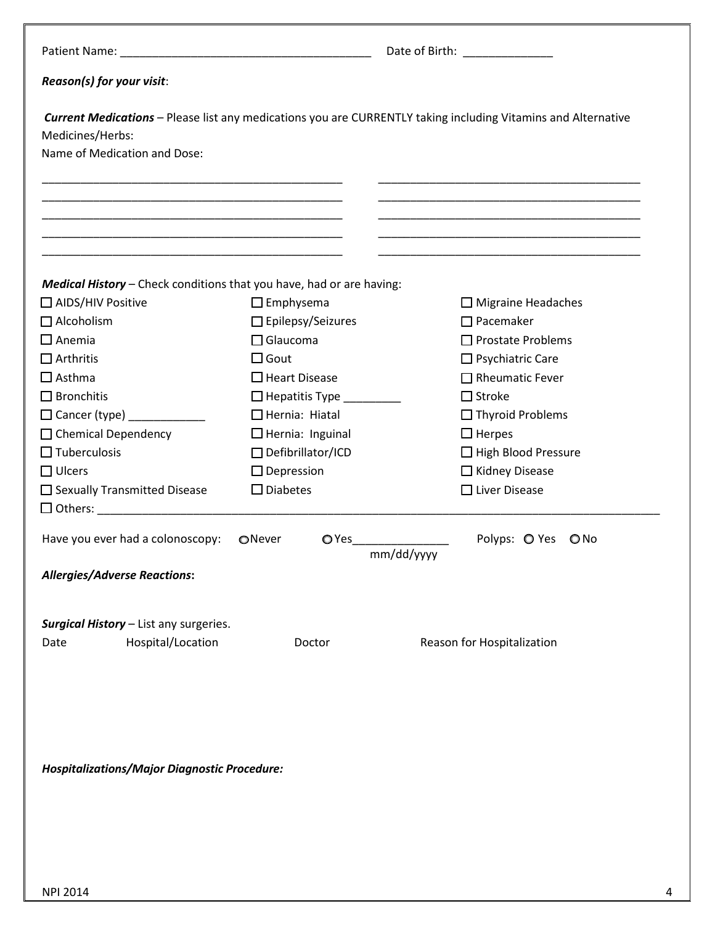|                                                                      |                                                               | Date of Birth: ______________                                                                                 |  |
|----------------------------------------------------------------------|---------------------------------------------------------------|---------------------------------------------------------------------------------------------------------------|--|
| Reason(s) for your visit:                                            |                                                               |                                                                                                               |  |
| Medicines/Herbs:<br>Name of Medication and Dose:                     |                                                               | Current Medications - Please list any medications you are CURRENTLY taking including Vitamins and Alternative |  |
| <u> 1980 - Jan James James Barnett, fransk politik (d. 1980)</u>     |                                                               |                                                                                                               |  |
| Medical History - Check conditions that you have, had or are having: |                                                               |                                                                                                               |  |
| □ AIDS/HIV Positive                                                  | $\Box$ Emphysema                                              | $\Box$ Migraine Headaches                                                                                     |  |
| $\Box$ Alcoholism                                                    | $\Box$ Epilepsy/Seizures                                      | $\Box$ Pacemaker                                                                                              |  |
| $\Box$ Anemia                                                        | $\Box$ Glaucoma                                               | $\Box$ Prostate Problems                                                                                      |  |
| $\Box$ Arthritis<br>$\Box$ Asthma                                    | $\Box$ Gout<br>$\Box$ Heart Disease                           | $\Box$ Psychiatric Care<br>$\Box$ Rheumatic Fever                                                             |  |
| $\Box$ Bronchitis                                                    | $\Box$ Hepatitis Type $\_\_\_\_\_\_\_\_\_\_\_\_\_\_\_\_\_\_\$ | $\Box$ Stroke                                                                                                 |  |
| $\Box$ Cancer (type) ____________                                    | $\Box$ Hernia: Hiatal                                         | $\Box$ Thyroid Problems                                                                                       |  |
| $\Box$ Chemical Dependency                                           | $\Box$ Hernia: Inguinal                                       | $\Box$ Herpes                                                                                                 |  |
| $\Box$ Tuberculosis                                                  | $\Box$ Defibrillator/ICD                                      | $\Box$ High Blood Pressure                                                                                    |  |
| $\Box$ Ulcers                                                        | $\Box$ Depression                                             | □ Kidney Disease                                                                                              |  |
| $\Box$ Sexually Transmitted Disease                                  | $\square$ Diabetes                                            | $\Box$ Liver Disease                                                                                          |  |
|                                                                      |                                                               |                                                                                                               |  |
| Have you ever had a colonoscopy:                                     | ONever<br>$\bigcirc$ Yes                                      | Polyps: O Yes O No<br>mm/dd/yyyy                                                                              |  |
| <b>Allergies/Adverse Reactions:</b>                                  |                                                               |                                                                                                               |  |
|                                                                      |                                                               |                                                                                                               |  |
| Surgical History - List any surgeries.                               |                                                               |                                                                                                               |  |
| Hospital/Location<br>Date                                            | Doctor                                                        | Reason for Hospitalization                                                                                    |  |
|                                                                      |                                                               |                                                                                                               |  |
|                                                                      |                                                               |                                                                                                               |  |
| <b>Hospitalizations/Major Diagnostic Procedure:</b>                  |                                                               |                                                                                                               |  |
|                                                                      |                                                               |                                                                                                               |  |
|                                                                      |                                                               |                                                                                                               |  |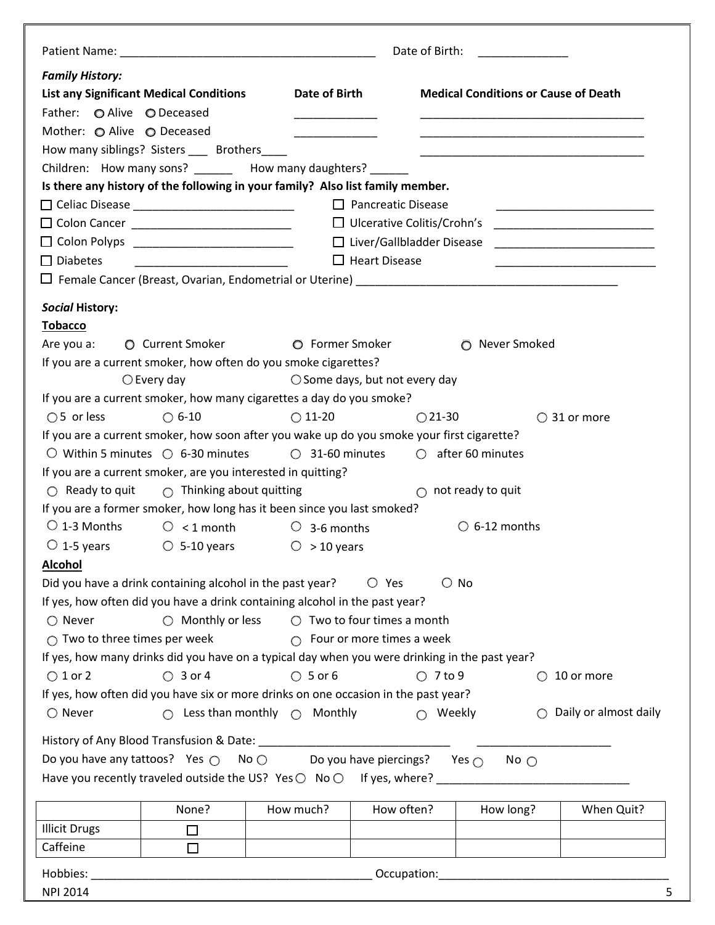|                                        |                                                                                                                |                                                 |                           | Date of Birth:                    |                                             |                                                                                                                       |
|----------------------------------------|----------------------------------------------------------------------------------------------------------------|-------------------------------------------------|---------------------------|-----------------------------------|---------------------------------------------|-----------------------------------------------------------------------------------------------------------------------|
| <b>Family History:</b>                 |                                                                                                                |                                                 |                           |                                   |                                             |                                                                                                                       |
|                                        | <b>List any Significant Medical Conditions</b>                                                                 | Date of Birth                                   |                           |                                   | <b>Medical Conditions or Cause of Death</b> |                                                                                                                       |
| Father: O Alive O Deceased             |                                                                                                                |                                                 |                           |                                   |                                             |                                                                                                                       |
| Mother: ⊙ Alive ⊙ Deceased             |                                                                                                                |                                                 |                           |                                   |                                             |                                                                                                                       |
|                                        | How many siblings? Sisters ____ Brothers_                                                                      | <u> 1990 - Johann Barnett, fransk politiker</u> |                           |                                   |                                             |                                                                                                                       |
|                                        | Children: How many sons? How many daughters?                                                                   |                                                 |                           |                                   |                                             |                                                                                                                       |
|                                        | Is there any history of the following in your family? Also list family member.                                 |                                                 |                           |                                   |                                             |                                                                                                                       |
|                                        |                                                                                                                |                                                 | $\Box$ Pancreatic Disease |                                   |                                             |                                                                                                                       |
|                                        |                                                                                                                |                                                 |                           |                                   |                                             | <u> 1989 - Johann Stein, mars an deus an deus Angelsen (</u>                                                          |
|                                        | □ Colon Cancer _______________________________                                                                 |                                                 |                           | $\Box$ Ulcerative Colitis/Crohn's |                                             |                                                                                                                       |
|                                        | $\Box$ Colon Polyps ___________________________                                                                |                                                 |                           | □ Liver/Gallbladder Disease       |                                             | <u> 1989 - Andrea Brand, amerikansk politik (</u>                                                                     |
| $\Box$ Diabetes                        | <u> 1989 - Johann Stoff, fransk politik (d. 1989)</u>                                                          |                                                 | $\Box$ Heart Disease      |                                   |                                             | <u> 1989 - Johann John Stein, markin fan it ferskearre fan it ferskearre fan it ferskearre fan it ferskearre fan </u> |
|                                        |                                                                                                                |                                                 |                           |                                   |                                             |                                                                                                                       |
| <b>Social History:</b>                 |                                                                                                                |                                                 |                           |                                   |                                             |                                                                                                                       |
| <b>Tobacco</b>                         |                                                                                                                |                                                 |                           |                                   |                                             |                                                                                                                       |
| Are you a:                             | <b>O</b> Current Smoker                                                                                        | O Former Smoker                                 |                           |                                   | O Never Smoked                              |                                                                                                                       |
|                                        | If you are a current smoker, how often do you smoke cigarettes?                                                |                                                 |                           |                                   |                                             |                                                                                                                       |
|                                        | $\bigcirc$ Every day                                                                                           | $\bigcirc$ Some days, but not every day         |                           |                                   |                                             |                                                                                                                       |
|                                        | If you are a current smoker, how many cigarettes a day do you smoke?                                           |                                                 |                           |                                   |                                             |                                                                                                                       |
| $\bigcirc$ 5 or less                   | $\bigcirc$ 6-10                                                                                                | $\bigcirc$ 11-20                                |                           | $\bigcirc$ 21-30                  |                                             | $\bigcirc$ 31 or more                                                                                                 |
|                                        | If you are a current smoker, how soon after you wake up do you smoke your first cigarette?                     |                                                 |                           |                                   |                                             |                                                                                                                       |
|                                        | $\circ$ Within 5 minutes $\circ$ 6-30 minutes                                                                  | $\circ$ 31-60 minutes                           |                           | $\circ$ after 60 minutes          |                                             |                                                                                                                       |
|                                        | If you are a current smoker, are you interested in quitting?                                                   |                                                 |                           |                                   |                                             |                                                                                                                       |
| $\bigcirc$ Ready to quit               | $\bigcirc$ Thinking about quitting                                                                             |                                                 |                           | $\bigcirc$ not ready to quit      |                                             |                                                                                                                       |
|                                        | If you are a former smoker, how long has it been since you last smoked?                                        |                                                 |                           |                                   |                                             |                                                                                                                       |
| $\bigcirc$ 1-3 Months                  | $\bigcirc$ < 1 month                                                                                           | $\circ$ 3-6 months                              |                           |                                   | $\circ$ 6-12 months                         |                                                                                                                       |
|                                        |                                                                                                                |                                                 |                           |                                   |                                             |                                                                                                                       |
|                                        | $\circ$ 1-5 years $\circ$ 5-10 years                                                                           | $\circ$ > 10 years                              |                           |                                   |                                             |                                                                                                                       |
| <b>Alcohol</b>                         |                                                                                                                |                                                 |                           |                                   |                                             |                                                                                                                       |
|                                        | Did you have a drink containing alcohol in the past year?                                                      |                                                 | $\bigcirc$ Yes            | $\bigcirc$ No                     |                                             |                                                                                                                       |
|                                        | If yes, how often did you have a drink containing alcohol in the past year?                                    |                                                 |                           |                                   |                                             |                                                                                                                       |
| $\bigcirc$ Never                       | $\bigcirc$ Monthly or less                                                                                     | $\bigcirc$ Two to four times a month            |                           |                                   |                                             |                                                                                                                       |
| $\bigcirc$ Two to three times per week |                                                                                                                | $\bigcirc$ Four or more times a week            |                           |                                   |                                             |                                                                                                                       |
|                                        | If yes, how many drinks did you have on a typical day when you were drinking in the past year?                 |                                                 |                           |                                   |                                             |                                                                                                                       |
| $\bigcirc$ 1 or 2                      | $\bigcirc$ 3 or 4                                                                                              | $O$ 5 or 6                                      |                           | $O$ 7 to 9                        |                                             | 10 or more                                                                                                            |
|                                        | If yes, how often did you have six or more drinks on one occasion in the past year?                            |                                                 |                           |                                   |                                             |                                                                                                                       |
| $\bigcirc$ Never                       | ∩                                                                                                              | Less than monthly $\bigcirc$ Monthly            |                           | Weekly<br>$\bigcap$               | ∩                                           | Daily or almost daily                                                                                                 |
|                                        | History of Any Blood Transfusion & Date: Natural Angle Angle Angle Angle Angle Angle Angle Angle Angle Angle A |                                                 |                           |                                   |                                             |                                                                                                                       |
|                                        | Do you have any tattoos? Yes $\bigcirc$ No $\bigcirc$ Do you have piercings? Yes $\bigcirc$                    |                                                 |                           |                                   |                                             |                                                                                                                       |
|                                        |                                                                                                                |                                                 |                           |                                   | No $\bigcirc$                               |                                                                                                                       |
|                                        | Have you recently traveled outside the US? Yes $\bigcirc$ No $\bigcirc$ If yes, where?                         |                                                 |                           |                                   |                                             |                                                                                                                       |
|                                        | None?                                                                                                          | How much?                                       | How often?                |                                   | How long?                                   | When Quit?                                                                                                            |
| <b>Illicit Drugs</b>                   | □                                                                                                              |                                                 |                           |                                   |                                             |                                                                                                                       |
| Caffeine                               | $\Box$                                                                                                         |                                                 |                           |                                   |                                             |                                                                                                                       |
|                                        |                                                                                                                |                                                 |                           |                                   |                                             |                                                                                                                       |
| Hobbies:                               |                                                                                                                |                                                 | Occupation:               |                                   |                                             |                                                                                                                       |
| <b>NPI 2014</b>                        |                                                                                                                |                                                 |                           |                                   |                                             | 5                                                                                                                     |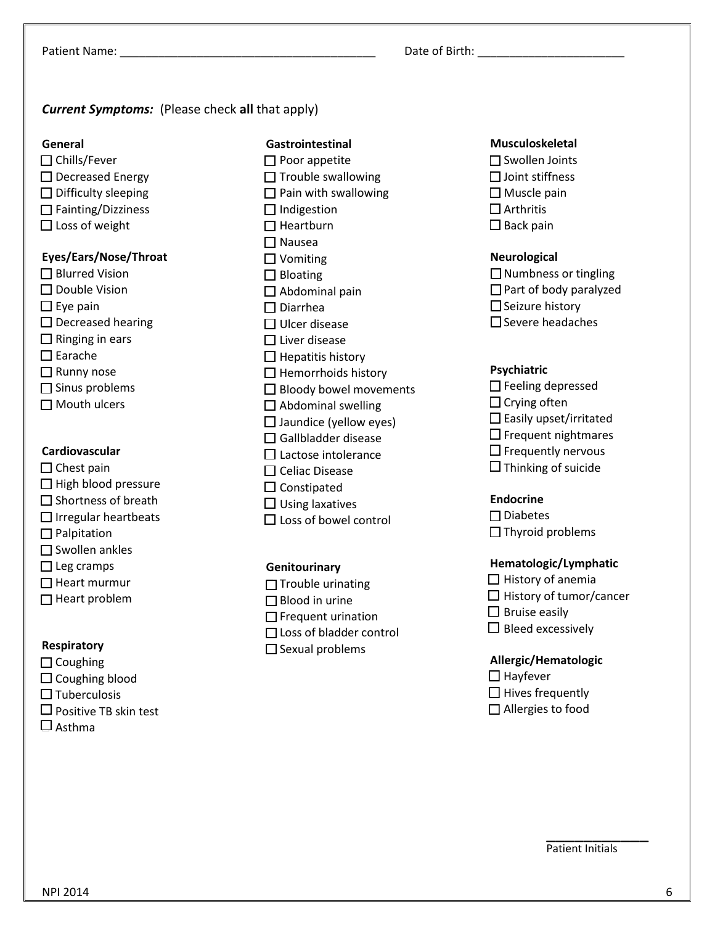Patient Name: \_\_\_\_\_\_\_\_\_\_\_\_\_\_\_\_\_\_\_\_\_\_\_\_\_\_\_\_\_\_\_\_\_\_\_\_\_\_\_\_ Date of Birth: \_\_\_\_\_\_\_\_\_\_\_\_\_\_\_\_\_\_\_\_\_\_\_

## *Current Symptoms:* (Please check **all** that apply)

#### **General**

 $\Box$  Chills/Fever  $\square$  Decreased Energy  $\square$  Difficulty sleeping  $\Box$  Fainting/Dizziness  $\square$  Loss of weight

## **Eyes/Ears/Nose/Throat**

□ Blurred Vision □ Double Vision  $\square$  Eye pain  $\square$  Decreased hearing  $\Box$  Ringing in ears □ Earache □ Runny nose  $\Box$  Sinus problems

# $\Box$  Mouth ulcers

## **Cardiovascular**

- $\Box$  Chest pain  $\Box$  High blood pressure  $\Box$  Shortness of breath  $\Box$  Irregular heartbeats **Palpitation**  $\square$  Swollen ankles  $\Box$  Leg cramps
- $\Box$  Heart murmur
- $\Box$  Heart problem

## **Respiratory**

- $\Box$  Coughing
- $\Box$  Coughing blood
- $\Box$  Tuberculosis
- $\Box$  Positive TB skin test
- $\square$  Asthma

## **Gastrointestinal**

- $\Box$  Poor appetite  $\Box$  Trouble swallowing  $\Box$  Pain with swallowing  $\Box$  Indigestion  $\Box$  Heartburn Nausea □ Vomiting  $\square$  Bloating  $\Box$  Abdominal pain Diarrhea  $\Box$  Ulcer disease  $\square$  Liver disease  $\Box$  Hepatitis history  $\Box$  Hemorrhoids history  $\Box$  Bloody bowel movements  $\square$  Abdominal swelling  $\Box$  Jaundice (yellow eyes)  $\Box$  Gallbladder disease  $\Box$  Lactose intolerance  $\square$  Celiac Disease  $\square$  Constipated  $\Box$  Using laxatives
- $\square$  Loss of bowel control

## **Genitourinary**

 $\Box$  Trouble urinating □ Blood in urine  $\Box$  Frequent urination Loss of bladder control  $\square$  Sexual problems

## **Musculoskeletal**

 $\square$  Swollen Joints  $\Box$  Joint stiffness  $\square$  Muscle pain  $\Box$  Arthritis  $\square$  Back pain

## **Neurological**

| $\Box$ Numbness or tingling   |
|-------------------------------|
| $\Box$ Part of body paralyzed |
| $\Box$ Seizure history        |
| $\Box$ Severe headaches       |

## **Psychiatric**

| $\Box$ Feeling depressed      |
|-------------------------------|
| $\Box$ Crying often           |
| $\Box$ Easily upset/irritated |
| $\Box$ Frequent nightmares    |
| $\Box$ Frequently nervous     |
| $\square$ Thinking of suicide |

## **Endocrine**

 $\square$  Diabetes  $\Box$  Thyroid problems

## **Hematologic/Lymphatic**

 $\Box$  History of anemia  $\Box$  History of tumor/cancer  $\square$  Bruise easily  $\Box$  Bleed excessively

## **Allergic/Hematologic**

 $\Box$  Hayfever  $\Box$  Hives frequently  $\Box$  Allergies to food

\_\_\_\_\_\_\_\_\_\_\_